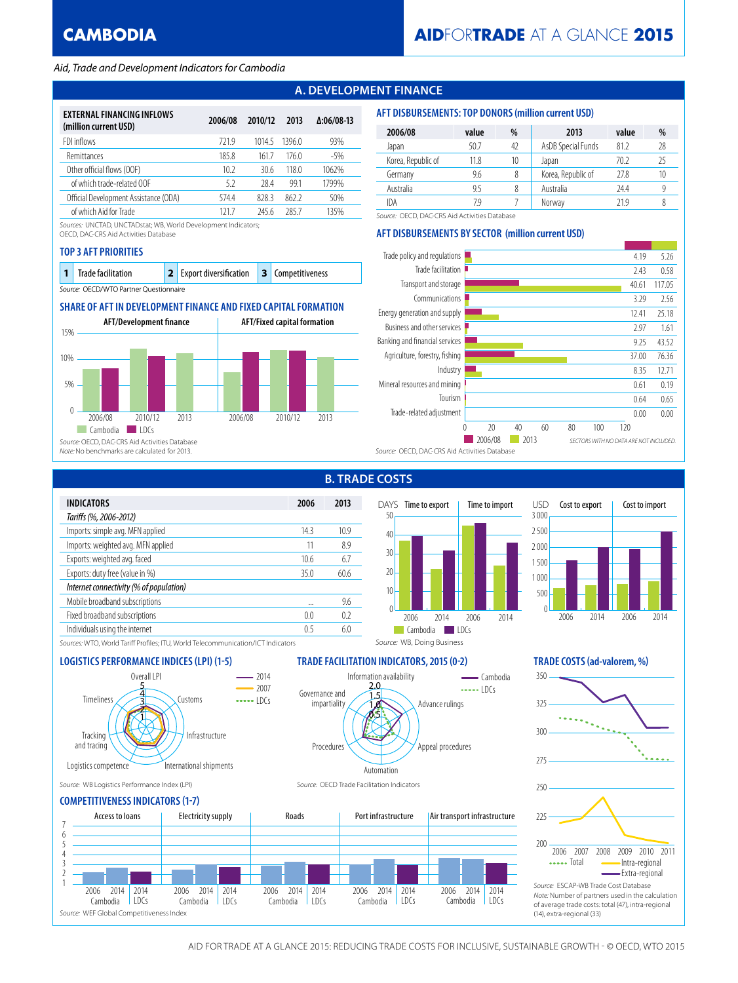### *Aid, Trade and Development Indicators for Cambodia*

# **A. DEVELOPMENT FINANCE**

| EXTERNAL FINANCING INFLOWS<br>(million current USD) | 2006/08 | 2010/12 | 2013  | $\Delta:06/08-13$ |
|-----------------------------------------------------|---------|---------|-------|-------------------|
| FDI inflows                                         | 7219    | 10145   | 13960 | 93%               |
| Remittances                                         | 1858    | 1617    | 1760  | -5%               |
| Other official flows (OOF)                          | 102     | 30.6    | 1180  | 1062%             |
| of which trade-related OOF                          | 5.2     | 28.4    | 991   | 1799%             |
| Official Development Assistance (ODA)               | 574.4   | 828.3   | 862.2 | 50%               |
| of which Aid for Trade                              | 121 7   | 245.6   | 2857  | 135%              |

*Sources:* UNCTAD, UNCTADstat; WB, World Development Indicators;

OECD, DAC-CRS Aid Activities Database

#### **TOP 3 AFT PRIORITIES**

| 1 Trade facilitation                   | <b>2</b> Export diversification <b>3</b> Competitiveness |  |
|----------------------------------------|----------------------------------------------------------|--|
| Source: OECD/WTO Partner Questionnaire |                                                          |  |

## **SHARE OF AFT IN DEVELOPMENT FINANCE AND FIXED CAPITAL FORMATION**



#### **AFT DISBURSEMENTS: TOP DONORS (million current USD)**

| 2006/08            | value | %  | 2013               | value | %  |
|--------------------|-------|----|--------------------|-------|----|
| Japan              | 50.7  | 42 | AsDB Special Funds | 81.2  | 28 |
| Korea, Republic of | 11.8  | 10 | Japan              | 70 2  | 25 |
| Germany            | 9.6   | 8  | Korea, Republic of | 27.8  | 10 |
| Australia          | 9.5   | 8  | Australia          | 24.4  |    |
| IDA                | 79    |    | Norway             | 21 Q  |    |

*Source:* OECD, DAC-CRS Aid Activities Database

## **AFT DISBURSEMENTS BY SECTOR (million current USD)**



| <b>INDICATORS</b>                       | 2006 | 2013 |
|-----------------------------------------|------|------|
| Tariffs (%, 2006-2012)                  |      |      |
| Imports: simple avg. MFN applied        | 143  | 109  |
| Imports: weighted avg. MFN applied      | 11   | 8.9  |
| Exports: weighted avg. faced            | 10.6 | 67   |
| Exports: duty free (value in %)         | 350  | 606  |
| Internet connectivity (% of population) |      |      |
| Mobile broadband subscriptions          |      | 9.6  |
| Fixed broadband subscriptions           | 0.0  | 02   |
| Individuals using the internet          | 05   | 60   |
|                                         |      |      |

## **B. TRADE COSTS**

Information availability

0.5 1.0 1.5 2.0

Automation



Advance rulings

*Source:* WB, Doing Business

 $\frac{1}{2}$  $-$  Cambodia

Appeal procedures



*Sources:* WTO, World Tariff Profiles; ITU, World Telecommunication/ICT Indicators

### **LOGISTICS PERFORMANCE INDICES (LPI) (1-5) TRADE FACILITATION INDICATORS, 2015 (0-2) TRADE COSTS (ad-valorem, %)**



*Source:* WB Logistics Performance Index (LPI) *Source:* OECD Trade Facilitation Indicators

### **COMPETITIVENESS INDICATORS (1-7)**



Procedures

Governance and **impartiality**